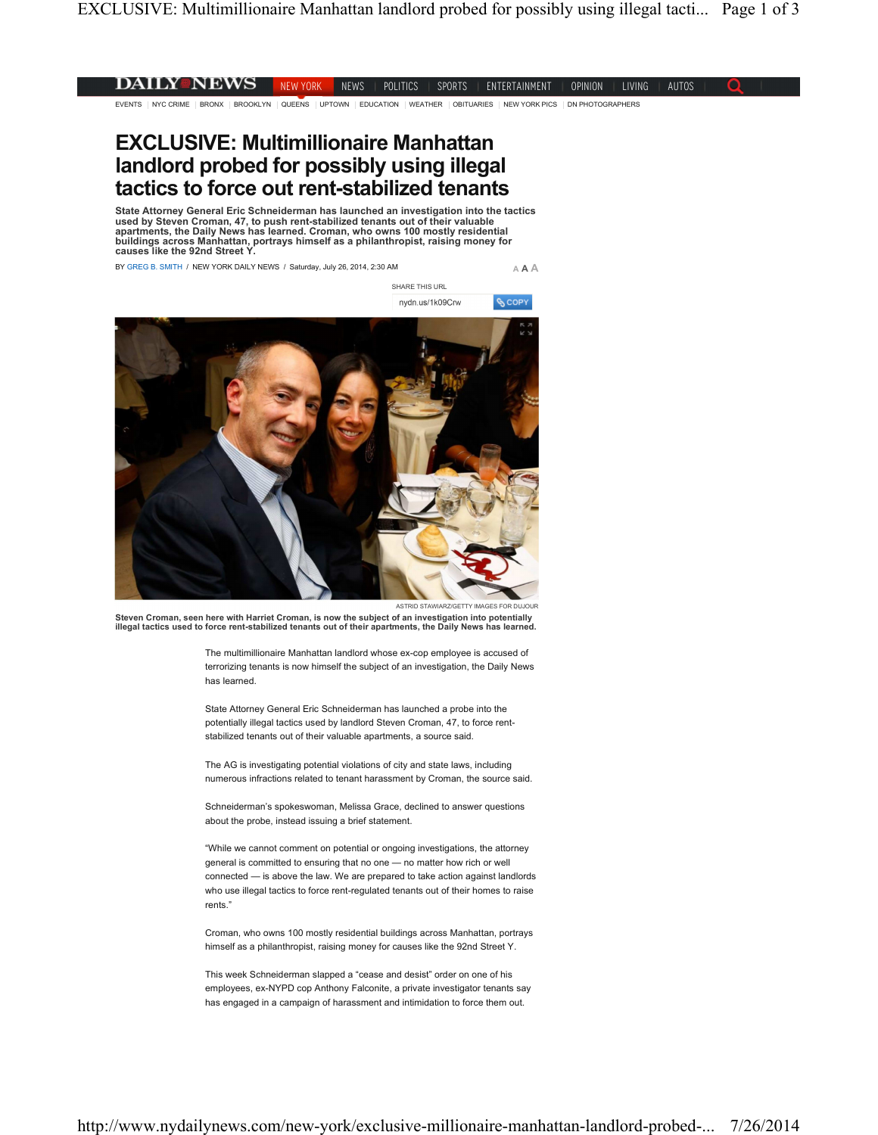## **DAILY NEWS** NEW YORK NEWS | POLITICS | SPORTS | ENTERTAINMENT | OPINION | LIVING | AUTOS O

EVENTS NYC CRIME BRONX BROOKLYN QUEENS UPTOWN EDUCATION WEATHER OBITUARIES NEW YORK PICS DN PHOTOGRAPHERS

## **EXCLUSIVE: Multimillionaire Manhattan landlord probed for possibly using illegal tactics to force out rent-stabilized tenants**

**State Attorney General Eric Schneiderman has launched an investigation into the tactics used by Steven Croman, 47, to push rent-stabilized tenants out of their valuable apartments, the Daily News has learned. Croman, who owns 100 mostly residential buildings across Manhattan, portrays himself as a philanthropist, raising money for causes like the 92nd Street Y.**

BY GREG B. SMITH / NEW YORK DAILY NEWS / Saturday, July 26, 2014, 2:30 AM

**A A A**

ى<br><mark>ئ</mark> COPY

SHARE THIS URL nydn.us/1k09Crw



ASTRID STAWIARZ/GETTY IMAGES FOR DUJOL

**Steven Croman, seen here with Harriet Croman, is now the subject of an investigation into potentially illegal tactics used to force rent-stabilized tenants out of their apartments, the Daily News has learned.**

The multimillionaire Manhattan landlord whose ex-cop employee is accused of terrorizing tenants is now himself the subject of an investigation, the Daily News has learned.

State Attorney General Eric Schneiderman has launched a probe into the potentially illegal tactics used by landlord Steven Croman, 47, to force rentstabilized tenants out of their valuable apartments, a source said.

The AG is investigating potential violations of city and state laws, including numerous infractions related to tenant harassment by Croman, the source said.

Schneiderman's spokeswoman, Melissa Grace, declined to answer questions about the probe, instead issuing a brief statement.

"While we cannot comment on potential or ongoing investigations, the attorney general is committed to ensuring that no one — no matter how rich or well connected — is above the law. We are prepared to take action against landlords who use illegal tactics to force rent-regulated tenants out of their homes to raise rents."

Croman, who owns 100 mostly residential buildings across Manhattan, portrays himself as a philanthropist, raising money for causes like the 92nd Street Y.

This week Schneiderman slapped a "cease and desist" order on one of his employees, ex-NYPD cop Anthony Falconite, a private investigator tenants say has engaged in a campaign of harassment and intimidation to force them out.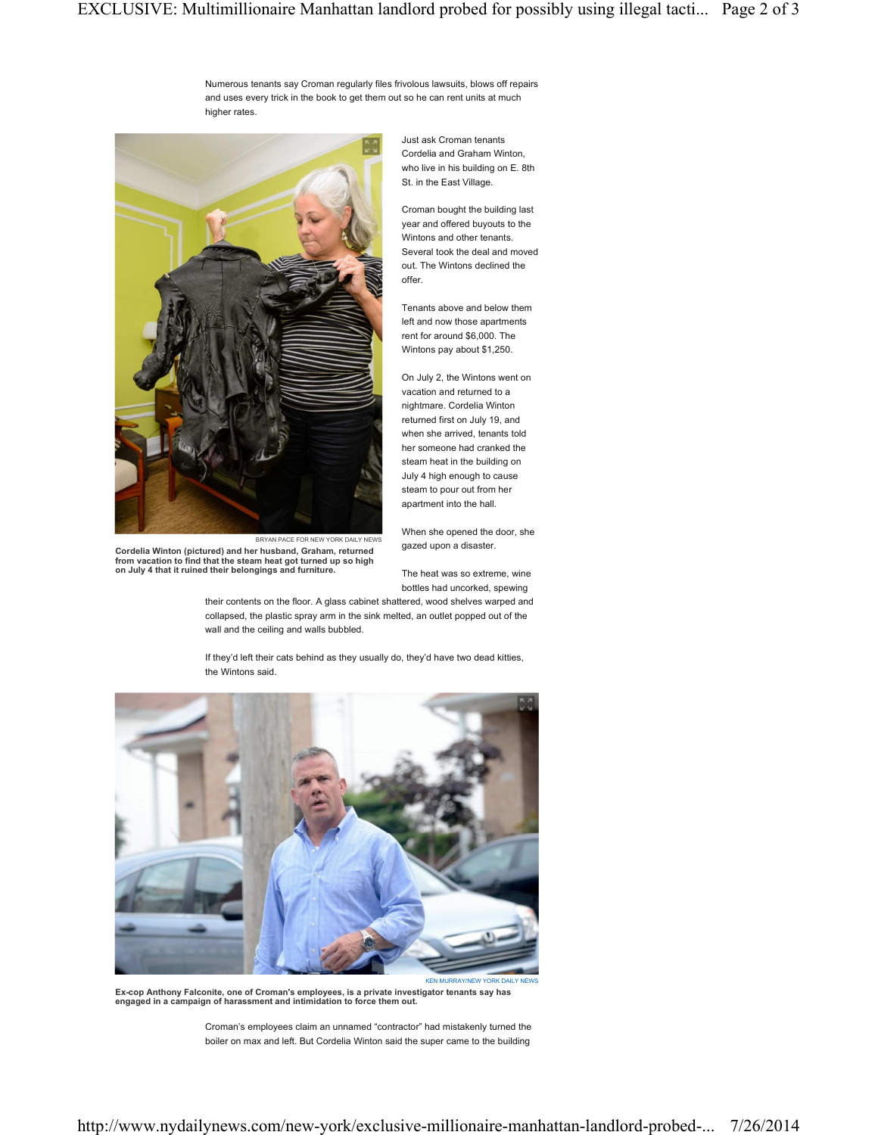Numerous tenants say Croman regularly files frivolous lawsuits, blows off repairs and uses every trick in the book to get them out so he can rent units at much higher rates.



BRYAN PACE FOR NEW YORK DAILY NEWS **Cordelia Winton (pictured) and her husband, Graham, returned from vacation to find that the steam heat got turned up so high on July 4 that it ruined their belongings and furniture.**

Just ask Croman tenants Cordelia and Graham Winton, who live in his building on E. 8th St. in the East Village.

Croman bought the building last year and offered buyouts to the Wintons and other tenants. Several took the deal and moved out. The Wintons declined the offer.

Tenants above and below them left and now those apartments rent for around \$6,000. The Wintons pay about \$1,250.

On July 2, the Wintons went on vacation and returned to a nightmare. Cordelia Winton returned first on July 19, and when she arrived, tenants told her someone had cranked the steam heat in the building on July 4 high enough to cause steam to pour out from her apartment into the hall.

When she opened the door, she gazed upon a disaster.

The heat was so extreme, wine bottles had uncorked, spewing

their contents on the floor. A glass cabinet shattered, wood shelves warped and collapsed, the plastic spray arm in the sink melted, an outlet popped out of the wall and the ceiling and walls bubbled.

If they'd left their cats behind as they usually do, they'd have two dead kitties, the Wintons said.



**Ex-cop Anthony Falconite, one of Croman's employees, is a private investigator tenants say has engaged in a campaign of harassment and intimidation to force them out.**

Croman's employees claim an unnamed "contractor" had mistakenly turned the boiler on max and left. But Cordelia Winton said the super came to the building